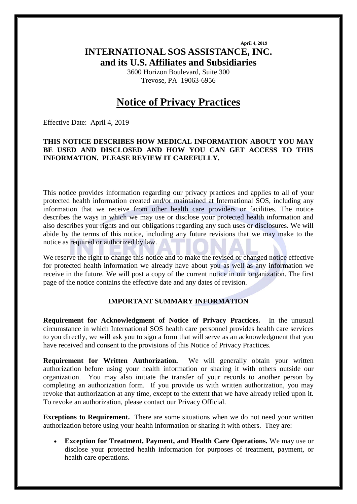**April 4, 2019 INTERNATIONAL SOS ASSISTANCE, INC. and its U.S. Affiliates and Subsidiaries**

> 3600 Horizon Boulevard, Suite 300 Trevose, PA 19063-6956

# **Notice of Privacy Practices**

Effective Date: April 4, 2019

#### **THIS NOTICE DESCRIBES HOW MEDICAL INFORMATION ABOUT YOU MAY BE USED AND DISCLOSED AND HOW YOU CAN GET ACCESS TO THIS INFORMATION. PLEASE REVIEW IT CAREFULLY.**

This notice provides information regarding our privacy practices and applies to all of your protected health information created and/or maintained at International SOS, including any information that we receive from other health care providers or facilities. The notice describes the ways in which we may use or disclose your protected health information and also describes your rights and our obligations regarding any such uses or disclosures. We will abide by the terms of this notice, including any future revisions that we may make to the notice as required or authorized by law.

We reserve the right to change this notice and to make the revised or changed notice effective for protected health information we already have about you as well as any information we receive in the future. We will post a copy of the current notice in our organization. The first page of the notice contains the effective date and any dates of revision.

#### **IMPORTANT SUMMARY INFORMATION**

**Requirement for Acknowledgment of Notice of Privacy Practices.** In the unusual circumstance in which International SOS health care personnel provides health care services to you directly, we will ask you to sign a form that will serve as an acknowledgment that you have received and consent to the provisions of this Notice of Privacy Practices.

**Requirement for Written Authorization.** We will generally obtain your written authorization before using your health information or sharing it with others outside our organization. You may also initiate the transfer of your records to another person by completing an authorization form. If you provide us with written authorization, you may revoke that authorization at any time, except to the extent that we have already relied upon it. To revoke an authorization, please contact our Privacy Official.

**Exceptions to Requirement.** There are some situations when we do not need your written authorization before using your health information or sharing it with others. They are:

• **Exception for Treatment, Payment, and Health Care Operations.** We may use or disclose your protected health information for purposes of treatment, payment, or health care operations.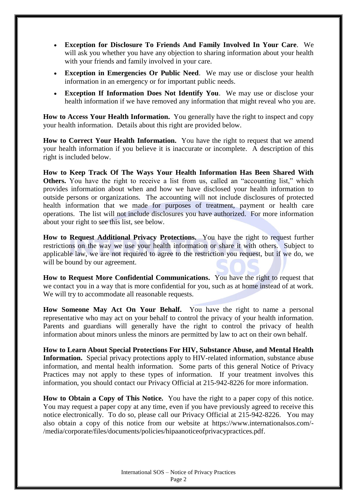- **Exception for Disclosure To Friends And Family Involved In Your Care**. We will ask you whether you have any objection to sharing information about your health with your friends and family involved in your care.
- **Exception in Emergencies Or Public Need**. We may use or disclose your health information in an emergency or for important public needs.
- **Exception If Information Does Not Identify You.** We may use or disclose your health information if we have removed any information that might reveal who you are.

**How to Access Your Health Information.** You generally have the right to inspect and copy your health information. Details about this right are provided below.

**How to Correct Your Health Information.** You have the right to request that we amend your health information if you believe it is inaccurate or incomplete. A description of this right is included below.

**How to Keep Track Of The Ways Your Health Information Has Been Shared With Others.** You have the right to receive a list from us, called an "accounting list," which provides information about when and how we have disclosed your health information to outside persons or organizations. The accounting will not include disclosures of protected health information that we made for purposes of treatment, payment or health care operations. The list will not include disclosures you have authorized. For more information about your right to see this list, see below.

**How to Request Additional Privacy Protections.** You have the right to request further restrictions on the way we use your health information or share it with others. Subject to applicable law, we are not required to agree to the restriction you request, but if we do, we will be bound by our agreement.

**How to Request More Confidential Communications.** You have the right to request that we contact you in a way that is more confidential for you, such as at home instead of at work. We will try to accommodate all reasonable requests.

**How Someone May Act On Your Behalf.** You have the right to name a personal representative who may act on your behalf to control the privacy of your health information. Parents and guardians will generally have the right to control the privacy of health information about minors unless the minors are permitted by law to act on their own behalf.

**How to Learn About Special Protections For HIV, Substance Abuse, and Mental Health Information.** Special privacy protections apply to HIV-related information, substance abuse information, and mental health information. Some parts of this general Notice of Privacy Practices may not apply to these types of information. If your treatment involves this information, you should contact our Privacy Official at 215-942-8226 for more information.

**How to Obtain a Copy of This Notice.** You have the right to a paper copy of this notice. You may request a paper copy at any time, even if you have previously agreed to receive this notice electronically. To do so, please call our Privacy Official at 215-942-8226. You may also obtain a copy of this notice from our website at https://www.internationalsos.com/- /media/corporate/files/documents/policies/hipaanoticeofprivacypractices.pdf.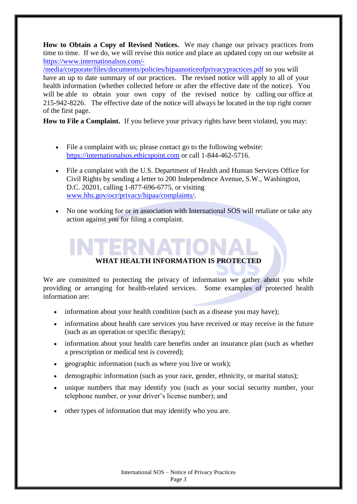**How to Obtain a Copy of Revised Notices.** We may change our privacy practices from time to time. If we do, we will revise this notice and place an updated copy on our website at [https://www.internationalsos.com/-](https://www.internationalsos.com/-/media/corporate/files/documents/policies/hipaanoticeofprivacypractices.pdf)

[/media/corporate/files/documents/policies/hipaanoticeofprivacypractices.pdf](https://www.internationalsos.com/-/media/corporate/files/documents/policies/hipaanoticeofprivacypractices.pdf) so you will have an up to date summary of our practices. The revised notice will apply to all of your health information (whether collected before or after the effective date of the notice). You will be able to obtain your own copy of the revised notice by calling our office at 215-942-8226. The effective date of the notice will always be located in the top right corner of the first page.

**How to File a Complaint.** If you believe your privacy rights have been violated, you may:

- File a complaint with us; please contact go to the following website: [https://internationalsos.ethicspoint.com](https://internationalsos.ethicspoint.com/) or call 1-844-462-5716.
- File a complaint with the U.S. Department of Health and Human Services Office for Civil Rights by sending a letter to 200 Independence Avenue, S.W., Washington, D.C. 20201, calling 1-877-696-6775, or visiting [www.hhs.gov/ocr/privacy/hipaa/complaints/.](http://www.hhs.gov/ocr/privacy/hipaa/complaints/)
- No one working for or in association with International SOS will retaliate or take any action against you for filing a complaint.

# **WHAT HEALTH INFORMATION IS PROTECTED**

We are committed to protecting the privacy of information we gather about you while providing or arranging for health-related services. Some examples of protected health information are:

- information about your health condition (such as a disease you may have);
- information about health care services you have received or may receive in the future (such as an operation or specific therapy);
- information about your health care benefits under an insurance plan (such as whether a prescription or medical test is covered);
- geographic information (such as where you live or work);
- demographic information (such as your race, gender, ethnicity, or marital status);
- unique numbers that may identify you (such as your social security number, your telephone number, or your driver's license number); and
- other types of information that may identify who you are.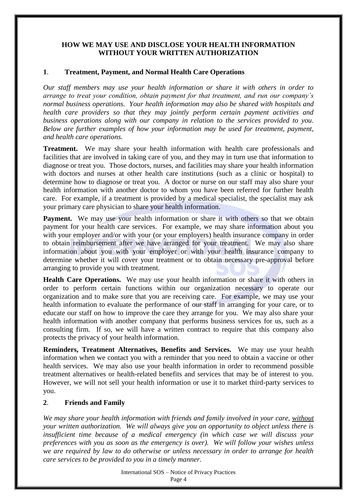#### **HOW WE MAY USE AND DISCLOSE YOUR HEALTH INFORMATION WITHOUT YOUR WRITTEN AUTHORIZATION**

#### **1**. **Treatment, Payment, and Normal Health Care Operations**

*Our staff members may use your health information or share it with others in order to arrange to treat your condition, obtain payment for that treatment, and run our company's normal business operations. Your health information may also be shared with hospitals and health care providers so that they may jointly perform certain payment activities and business operations along with our company in relation to the services provided to you. Below are further examples of how your information may be used for treatment, payment, and health care operations.*

**Treatment.** We may share your health information with health care professionals and facilities that are involved in taking care of you, and they may in turn use that information to diagnose or treat you. Those doctors, nurses, and facilities may share your health information with doctors and nurses at other health care institutions (such as a clinic or hospital) to determine how to diagnose or treat you. A doctor or nurse on our staff may also share your health information with another doctor to whom you have been referred for further health care. For example, if a treatment is provided by a medical specialist, the specialist may ask your primary care physician to share your health information.

Payment. We may use your health information or share it with others so that we obtain payment for your health care services. For example, we may share information about you with your employer and/or with your (or your employers) health insurance company in order to obtain reimbursement after we have arranged for your treatment. We may also share information about you with your employer or with your health insurance company to determine whether it will cover your treatment or to obtain necessary pre-approval before arranging to provide you with treatment.

**Health Care Operations.** We may use your health information or share it with others in order to perform certain functions within our organization necessary to operate our organization and to make sure that you are receiving care. For example, we may use your health information to evaluate the performance of our staff in arranging for your care, or to educate our staff on how to improve the care they arrange for you. We may also share your health information with another company that performs business services for us, such as a consulting firm. If so, we will have a written contract to require that this company also protects the privacy of your health information.

**Reminders, Treatment Alternatives, Benefits and Services.** We may use your health information when we contact you with a reminder that you need to obtain a vaccine or other health services. We may also use your health information in order to recommend possible treatment alternatives or health-related benefits and services that may be of interest to you. However, we will not sell your health information or use it to market third-party services to you.

# **2**. **Friends and Family**

*We may share your health information with friends and family involved in your care, without your written authorization. We will always give you an opportunity to object unless there is insufficient time because of a medical emergency (in which case we will discuss your preferences with you as soon as the emergency is over). We will follow your wishes unless we are required by law to do otherwise or unless necessary in order to arrange for health care services to be provided to you in a timely manner.*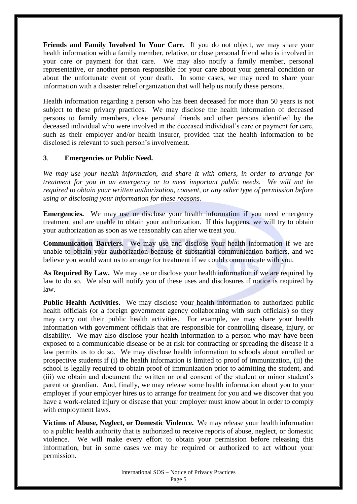**Friends and Family Involved In Your Care.** If you do not object, we may share your health information with a family member, relative, or close personal friend who is involved in your care or payment for that care. We may also notify a family member, personal representative, or another person responsible for your care about your general condition or about the unfortunate event of your death. In some cases, we may need to share your information with a disaster relief organization that will help us notify these persons.

Health information regarding a person who has been deceased for more than 50 years is not subject to these privacy practices. We may disclose the health information of deceased persons to family members, close personal friends and other persons identified by the deceased individual who were involved in the deceased individual's care or payment for care, such as their employer and/or health insurer, provided that the health information to be disclosed is relevant to such person's involvement.

# **3**. **Emergencies or Public Need.**

*We may use your health information, and share it with others, in order to arrange for treatment for you in an emergency or to meet important public needs. We will not be required to obtain your written authorization, consent, or any other type of permission before using or disclosing your information for these reasons.*

**Emergencies.** We may use or disclose your health information if you need emergency treatment and are unable to obtain your authorization. If this happens, we will try to obtain your authorization as soon as we reasonably can after we treat you.

**Communication Barriers.** We may use and disclose your health information if we are unable to obtain your authorization because of substantial communication barriers, and we believe you would want us to arrange for treatment if we could communicate with you.

**As Required By Law.** We may use or disclose your health information if we are required by law to do so. We also will notify you of these uses and disclosures if notice is required by law.

**Public Health Activities.** We may disclose your health information to authorized public health officials (or a foreign government agency collaborating with such officials) so they may carry out their public health activities. For example, we may share your health information with government officials that are responsible for controlling disease, injury, or disability. We may also disclose your health information to a person who may have been exposed to a communicable disease or be at risk for contracting or spreading the disease if a law permits us to do so. We may disclose health information to schools about enrolled or prospective students if (i) the health information is limited to proof of immunization, (ii) the school is legally required to obtain proof of immunization prior to admitting the student, and (iii) we obtain and document the written or oral consent of the student or minor student's parent or guardian. And, finally, we may release some health information about you to your employer if your employer hires us to arrange for treatment for you and we discover that you have a work-related injury or disease that your employer must know about in order to comply with employment laws.

**Victims of Abuse, Neglect, or Domestic Violence.** We may release your health information to a public health authority that is authorized to receive reports of abuse, neglect, or domestic violence. We will make every effort to obtain your permission before releasing this information, but in some cases we may be required or authorized to act without your permission.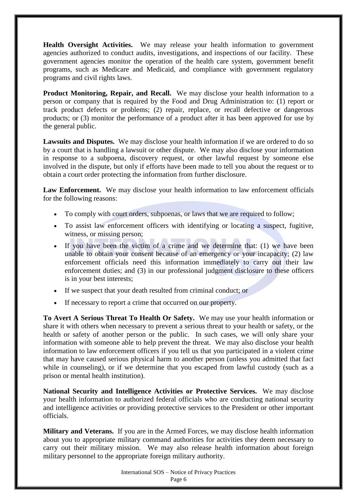**Health Oversight Activities.** We may release your health information to government agencies authorized to conduct audits, investigations, and inspections of our facility. These government agencies monitor the operation of the health care system, government benefit programs, such as Medicare and Medicaid, and compliance with government regulatory programs and civil rights laws.

**Product Monitoring, Repair, and Recall.** We may disclose your health information to a person or company that is required by the Food and Drug Administration to: (1) report or track product defects or problems; (2) repair, replace, or recall defective or dangerous products; or (3) monitor the performance of a product after it has been approved for use by the general public.

**Lawsuits and Disputes.** We may disclose your health information if we are ordered to do so by a court that is handling a lawsuit or other dispute. We may also disclose your information in response to a subpoena, discovery request, or other lawful request by someone else involved in the dispute, but only if efforts have been made to tell you about the request or to obtain a court order protecting the information from further disclosure.

Law Enforcement. We may disclose your health information to law enforcement officials for the following reasons:

- To comply with court orders, subpoenas, or laws that we are required to follow;
- To assist law enforcement officers with identifying or locating a suspect, fugitive, witness, or missing person;
- If you have been the victim of a crime and we determine that: (1) we have been unable to obtain your consent because of an emergency or your incapacity; (2) law enforcement officials need this information immediately to carry out their law enforcement duties; and (3) in our professional judgment disclosure to these officers is in your best interests;
- If we suspect that your death resulted from criminal conduct; or
- If necessary to report a crime that occurred on our property.

**To Avert A Serious Threat To Health Or Safety.** We may use your health information or share it with others when necessary to prevent a serious threat to your health or safety, or the health or safety of another person or the public. In such cases, we will only share your information with someone able to help prevent the threat. We may also disclose your health information to law enforcement officers if you tell us that you participated in a violent crime that may have caused serious physical harm to another person (unless you admitted that fact while in counseling), or if we determine that you escaped from lawful custody (such as a prison or mental health institution).

**National Security and Intelligence Activities or Protective Services.** We may disclose your health information to authorized federal officials who are conducting national security and intelligence activities or providing protective services to the President or other important officials.

**Military and Veterans.** If you are in the Armed Forces, we may disclose health information about you to appropriate military command authorities for activities they deem necessary to carry out their military mission. We may also release health information about foreign military personnel to the appropriate foreign military authority.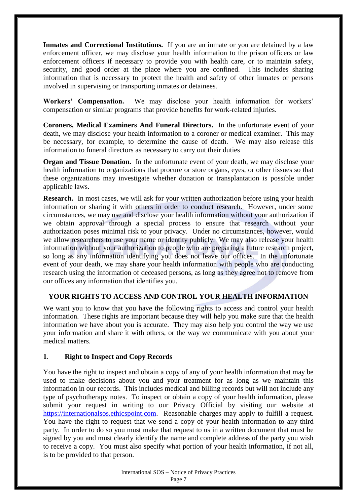**Inmates and Correctional Institutions.** If you are an inmate or you are detained by a law enforcement officer, we may disclose your health information to the prison officers or law enforcement officers if necessary to provide you with health care, or to maintain safety, security, and good order at the place where you are confined. This includes sharing information that is necessary to protect the health and safety of other inmates or persons involved in supervising or transporting inmates or detainees.

**Workers' Compensation.** We may disclose your health information for workers' compensation or similar programs that provide benefits for work-related injuries.

**Coroners, Medical Examiners And Funeral Directors.** In the unfortunate event of your death, we may disclose your health information to a coroner or medical examiner. This may be necessary, for example, to determine the cause of death. We may also release this information to funeral directors as necessary to carry out their duties

**Organ and Tissue Donation.** In the unfortunate event of your death, we may disclose your health information to organizations that procure or store organs, eyes, or other tissues so that these organizations may investigate whether donation or transplantation is possible under applicable laws.

**Research.** In most cases, we will ask for your written authorization before using your health information or sharing it with others in order to conduct research. However, under some circumstances, we may use and disclose your health information without your authorization if we obtain approval through a special process to ensure that research without your authorization poses minimal risk to your privacy. Under no circumstances, however, would we allow researchers to use your name or identity publicly. We may also release your health information without your authorization to people who are preparing a future research project, so long as any information identifying you does not leave our offices. In the unfortunate event of your death, we may share your health information with people who are conducting research using the information of deceased persons, as long as they agree not to remove from our offices any information that identifies you.

# **YOUR RIGHTS TO ACCESS AND CONTROL YOUR HEALTH INFORMATION**

We want you to know that you have the following rights to access and control your health information. These rights are important because they will help you make sure that the health information we have about you is accurate. They may also help you control the way we use your information and share it with others, or the way we communicate with you about your medical matters.

# **1**. **Right to Inspect and Copy Records**

You have the right to inspect and obtain a copy of any of your health information that may be used to make decisions about you and your treatment for as long as we maintain this information in our records. This includes medical and billing records but will not include any type of psychotherapy notes. To inspect or obtain a copy of your health information, please submit your request in writing to our Privacy Official by visiting our website at [https://internationalsos.ethicspoint.com.](https://internationalsos.ethicspoint.com/) Reasonable charges may apply to fulfill a request. You have the right to request that we send a copy of your health information to any third party. In order to do so you must make that request to us in a written document that must be signed by you and must clearly identify the name and complete address of the party you wish to receive a copy. You must also specify what portion of your health information, if not all, is to be provided to that person.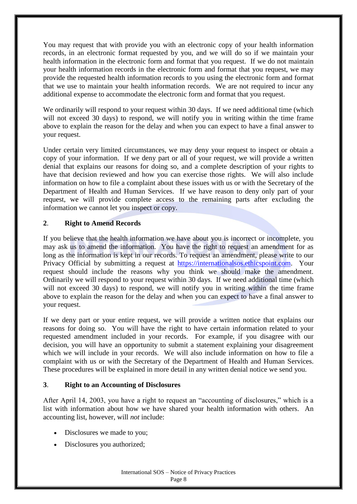You may request that with provide you with an electronic copy of your health information records, in an electronic format requested by you, and we will do so if we maintain your health information in the electronic form and format that you request. If we do not maintain your health information records in the electronic form and format that you request, we may provide the requested health information records to you using the electronic form and format that we use to maintain your health information records. We are not required to incur any additional expense to accommodate the electronic form and format that you request.

We ordinarily will respond to your request within 30 days. If we need additional time (which will not exceed 30 days) to respond, we will notify you in writing within the time frame above to explain the reason for the delay and when you can expect to have a final answer to your request.

Under certain very limited circumstances, we may deny your request to inspect or obtain a copy of your information. If we deny part or all of your request, we will provide a written denial that explains our reasons for doing so, and a complete description of your rights to have that decision reviewed and how you can exercise those rights. We will also include information on how to file a complaint about these issues with us or with the Secretary of the Department of Health and Human Services. If we have reason to deny only part of your request, we will provide complete access to the remaining parts after excluding the information we cannot let you inspect or copy.

# **2**. **Right to Amend Records**

If you believe that the health information we have about you is incorrect or incomplete, you may ask us to amend the information. You have the right to request an amendment for as long as the information is kept in our records. To request an amendment, please write to our Privacy Official by submitting a request at [https://internationalsos.ethicspoint.com.](https://internationalsos.ethicspoint.com/) Your request should include the reasons why you think we should make the amendment. Ordinarily we will respond to your request within 30 days. If we need additional time (which will not exceed 30 days) to respond, we will notify you in writing within the time frame above to explain the reason for the delay and when you can expect to have a final answer to your request.

If we deny part or your entire request, we will provide a written notice that explains our reasons for doing so. You will have the right to have certain information related to your requested amendment included in your records. For example, if you disagree with our decision, you will have an opportunity to submit a statement explaining your disagreement which we will include in your records. We will also include information on how to file a complaint with us or with the Secretary of the Department of Health and Human Services. These procedures will be explained in more detail in any written denial notice we send you.

#### **3**. **Right to an Accounting of Disclosures**

After April 14, 2003, you have a right to request an "accounting of disclosures," which is a list with information about how we have shared your health information with others. An accounting list, however, will *not* include:

- Disclosures we made to you;
- Disclosures you authorized;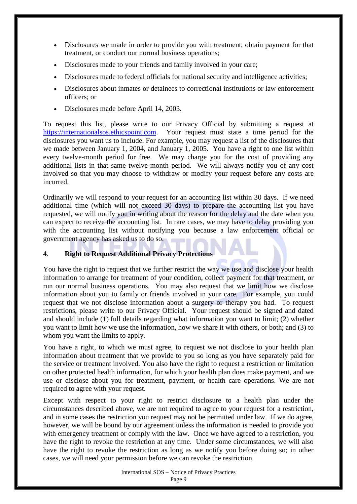- Disclosures we made in order to provide you with treatment, obtain payment for that treatment, or conduct our normal business operations;
- Disclosures made to your friends and family involved in your care;
- Disclosures made to federal officials for national security and intelligence activities;
- Disclosures about inmates or detainees to correctional institutions or law enforcement officers; or
- Disclosures made before April 14, 2003.

To request this list, please write to our Privacy Official by submitting a request at [https://internationalsos.ethicspoint.com.](https://internationalsos.ethicspoint.com/) Your request must state a time period for the disclosures you want us to include. For example, you may request a list of the disclosures that we made between January 1, 2004, and January 1, 2005. You have a right to one list within every twelve-month period for free. We may charge you for the cost of providing any additional lists in that same twelve-month period. We will always notify you of any cost involved so that you may choose to withdraw or modify your request before any costs are incurred.

Ordinarily we will respond to your request for an accounting list within 30 days. If we need additional time (which will not exceed 30 days) to prepare the accounting list you have requested, we will notify you in writing about the reason for the delay and the date when you can expect to receive the accounting list. In rare cases, we may have to delay providing you with the accounting list without notifying you because a law enforcement official or government agency has asked us to do so.

# **4**. **Right to Request Additional Privacy Protections**

You have the right to request that we further restrict the way we use and disclose your health information to arrange for treatment of your condition, collect payment for that treatment, or run our normal business operations. You may also request that we limit how we disclose information about you to family or friends involved in your care. For example, you could request that we not disclose information about a surgery or therapy you had. To request restrictions, please write to our Privacy Official. Your request should be signed and dated and should include (1) full details regarding what information you want to limit; (2) whether you want to limit how we use the information, how we share it with others, or both; and (3) to whom you want the limits to apply.

You have a right, to which we must agree, to request we not disclose to your health plan information about treatment that we provide to you so long as you have separately paid for the service or treatment involved. You also have the right to request a restriction or limitation on other protected health information, for which your health plan does make payment, and we use or disclose about you for treatment, payment, or health care operations. We are not required to agree with your request.

Except with respect to your right to restrict disclosure to a health plan under the circumstances described above, we are not required to agree to your request for a restriction, and in some cases the restriction you request may not be permitted under law. If we do agree, however, we will be bound by our agreement unless the information is needed to provide you with emergency treatment or comply with the law. Once we have agreed to a restriction, you have the right to revoke the restriction at any time. Under some circumstances, we will also have the right to revoke the restriction as long as we notify you before doing so; in other cases, we will need your permission before we can revoke the restriction.